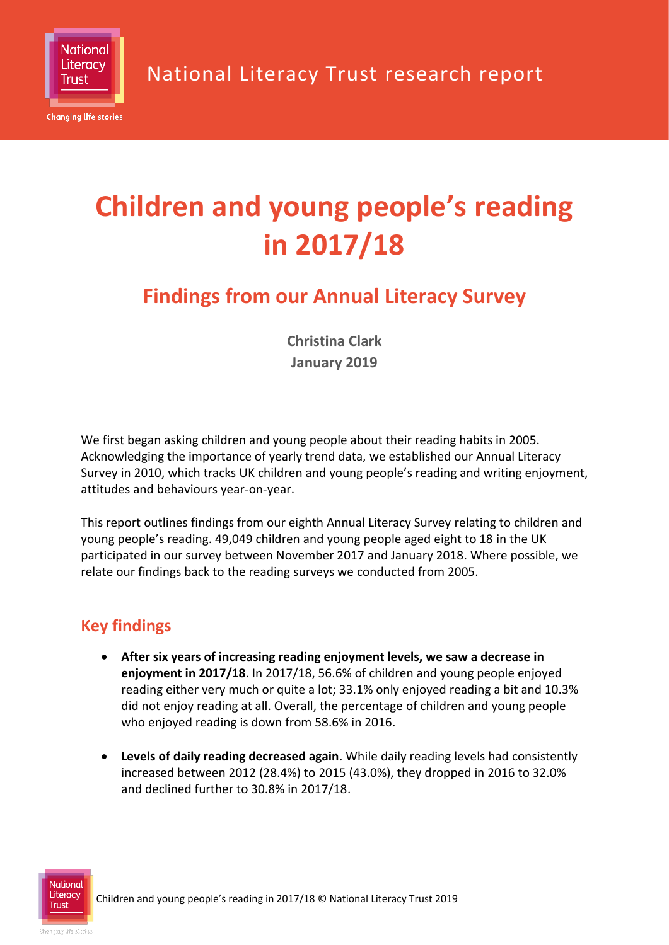

National Literacy Trust research report

# **Children and young people's reading in 2017/18**

# **Findings from our Annual Literacy Survey**

**Christina Clark January 2019**

We first began asking children and young people about their reading habits in 2005. Acknowledging the importance of yearly trend data, we established our Annual Literacy Survey in 2010, which tracks UK children and young people's reading and writing enjoyment, attitudes and behaviours year-on-year.

This report outlines findings from our eighth Annual Literacy Survey relating to children and young people's reading. 49,049 children and young people aged eight to 18 in the UK participated in our survey between November 2017 and January 2018. Where possible, we relate our findings back to the reading surveys we conducted from 2005.

### **Key findings**

- **After six years of increasing reading enjoyment levels, we saw a decrease in enjoyment in 2017/18**. In 2017/18, 56.6% of children and young people enjoyed reading either very much or quite a lot; 33.1% only enjoyed reading a bit and 10.3% did not enjoy reading at all. Overall, the percentage of children and young people who enjoyed reading is down from 58.6% in 2016.
- **Levels of daily reading decreased again**. While daily reading levels had consistently increased between 2012 (28.4%) to 2015 (43.0%), they dropped in 2016 to 32.0% and declined further to 30.8% in 2017/18.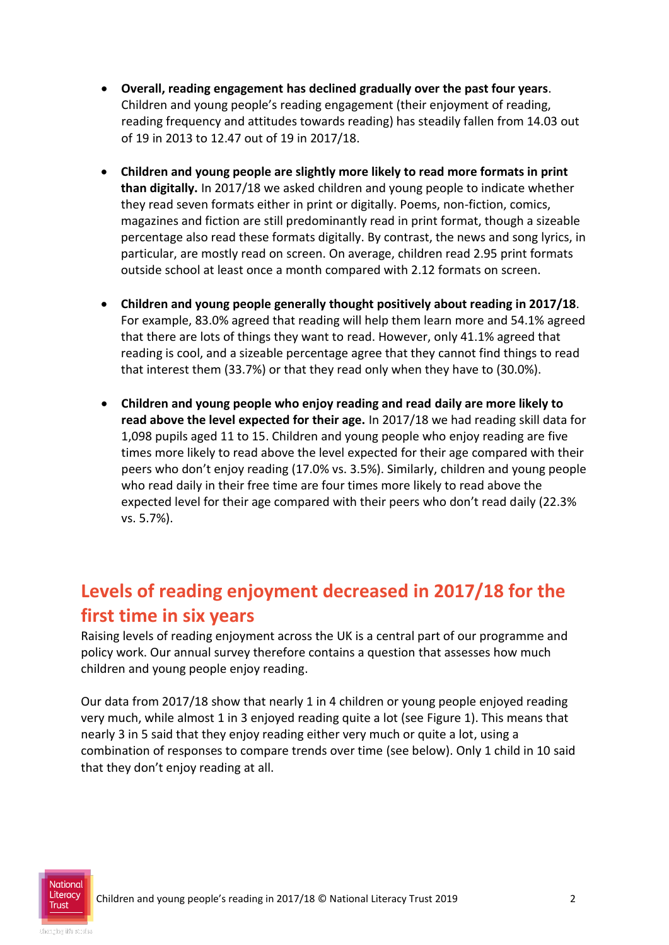- **Overall, reading engagement has declined gradually over the past four years**. Children and young people's reading engagement (their enjoyment of reading, reading frequency and attitudes towards reading) has steadily fallen from 14.03 out of 19 in 2013 to 12.47 out of 19 in 2017/18.
- **Children and young people are slightly more likely to read more formats in print than digitally.** In 2017/18 we asked children and young people to indicate whether they read seven formats either in print or digitally. Poems, non-fiction, comics, magazines and fiction are still predominantly read in print format, though a sizeable percentage also read these formats digitally. By contrast, the news and song lyrics, in particular, are mostly read on screen. On average, children read 2.95 print formats outside school at least once a month compared with 2.12 formats on screen.
- **Children and young people generally thought positively about reading in 2017/18**. For example, 83.0% agreed that reading will help them learn more and 54.1% agreed that there are lots of things they want to read. However, only 41.1% agreed that reading is cool, and a sizeable percentage agree that they cannot find things to read that interest them (33.7%) or that they read only when they have to (30.0%).
- **Children and young people who enjoy reading and read daily are more likely to read above the level expected for their age.** In 2017/18 we had reading skill data for 1,098 pupils aged 11 to 15. Children and young people who enjoy reading are five times more likely to read above the level expected for their age compared with their peers who don't enjoy reading (17.0% vs. 3.5%). Similarly, children and young people who read daily in their free time are four times more likely to read above the expected level for their age compared with their peers who don't read daily (22.3% vs. 5.7%).

# **Levels of reading enjoyment decreased in 2017/18 for the first time in six years**

Raising levels of reading enjoyment across the UK is a central part of our programme and policy work. Our annual survey therefore contains a question that assesses how much children and young people enjoy reading.

Our data from 2017/18 show that nearly 1 in 4 children or young people enjoyed reading very much, while almost 1 in 3 enjoyed reading quite a lot (see Figure 1). This means that nearly 3 in 5 said that they enjoy reading either very much or quite a lot, using a combination of responses to compare trends over time (see below). Only 1 child in 10 said that they don't enjoy reading at all.

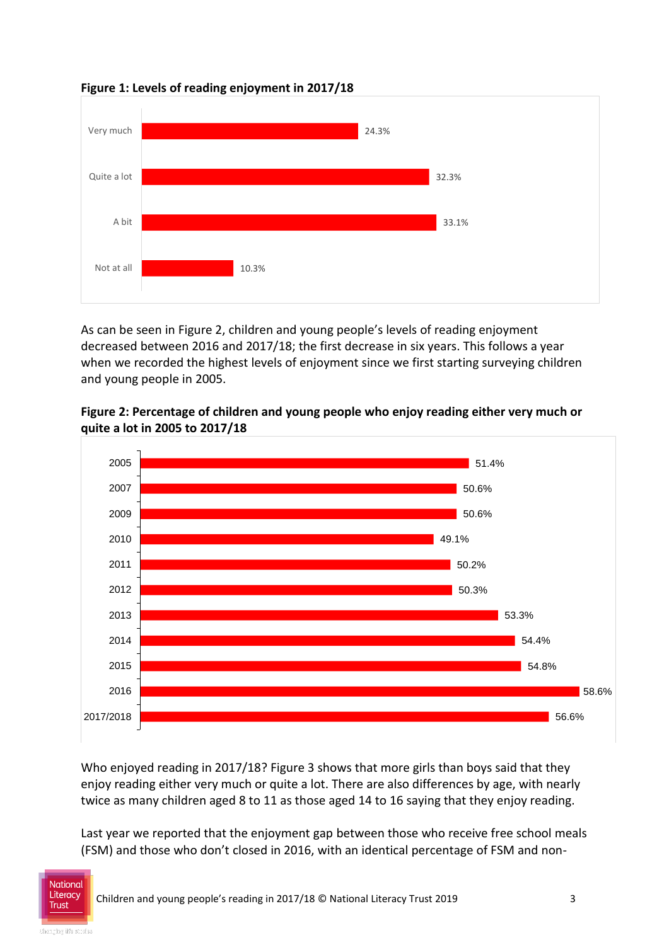



As can be seen in Figure 2, children and young people's levels of reading enjoyment decreased between 2016 and 2017/18; the first decrease in six years. This follows a year when we recorded the highest levels of enjoyment since we first starting surveying children and young people in 2005.



**Figure 2: Percentage of children and young people who enjoy reading either very much or quite a lot in 2005 to 2017/18**

Who enjoyed reading in 2017/18? Figure 3 shows that more girls than boys said that they enjoy reading either very much or quite a lot. There are also differences by age, with nearly twice as many children aged 8 to 11 as those aged 14 to 16 saying that they enjoy reading.

Last year we reported that the enjoyment gap between those who receive free school meals (FSM) and those who don't closed in 2016, with an identical percentage of FSM and non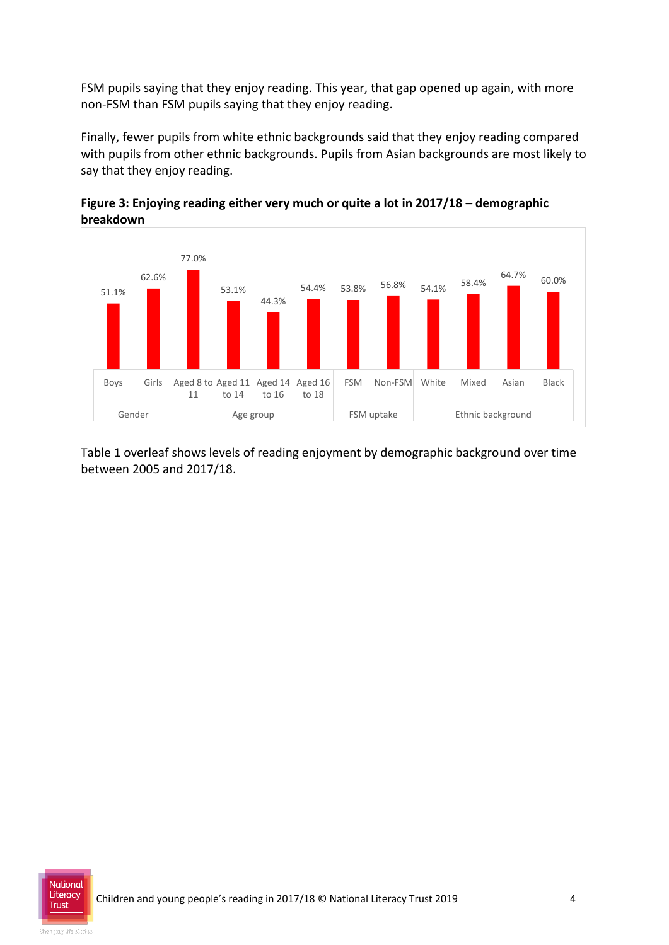FSM pupils saying that they enjoy reading. This year, that gap opened up again, with more non-FSM than FSM pupils saying that they enjoy reading.

Finally, fewer pupils from white ethnic backgrounds said that they enjoy reading compared with pupils from other ethnic backgrounds. Pupils from Asian backgrounds are most likely to say that they enjoy reading.



**Figure 3: Enjoying reading either very much or quite a lot in 2017/18 – demographic breakdown** 

Table 1 overleaf shows levels of reading enjoyment by demographic background over time between 2005 and 2017/18.

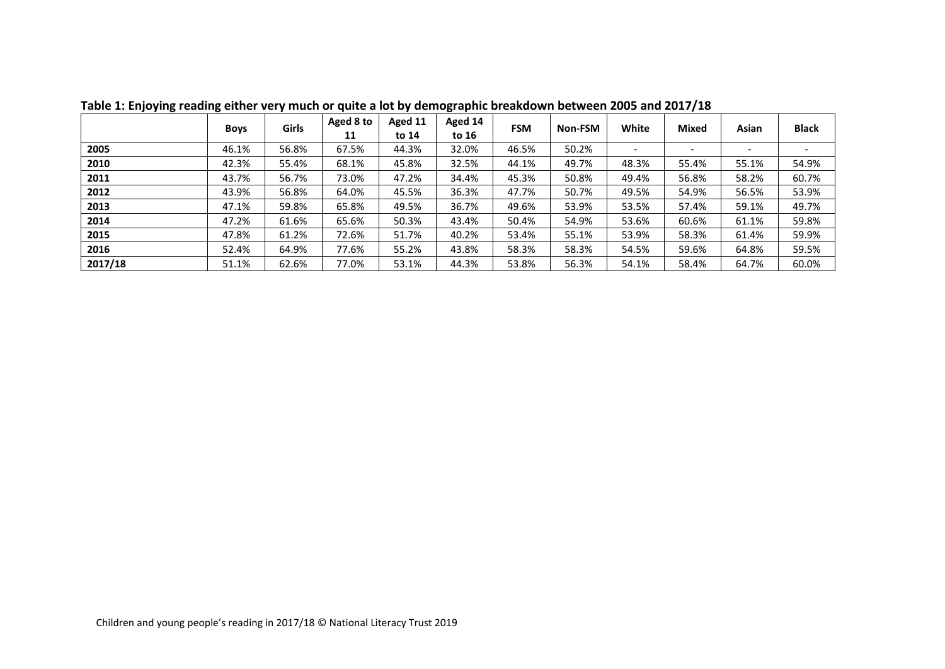|         | <b>Boys</b> | <b>Girls</b> | Aged 8 to<br>11 | Aged 11<br>to 14 | Aged 14<br>to 16 | <b>FSM</b> | Non-FSM | White | <b>Mixed</b>             | Asian | <b>Black</b> |
|---------|-------------|--------------|-----------------|------------------|------------------|------------|---------|-------|--------------------------|-------|--------------|
| 2005    | 46.1%       | 56.8%        | 67.5%           | 44.3%            | 32.0%            | 46.5%      | 50.2%   |       | $\overline{\phantom{a}}$ |       |              |
| 2010    | 42.3%       | 55.4%        | 68.1%           | 45.8%            | 32.5%            | 44.1%      | 49.7%   | 48.3% | 55.4%                    | 55.1% | 54.9%        |
| 2011    | 43.7%       | 56.7%        | 73.0%           | 47.2%            | 34.4%            | 45.3%      | 50.8%   | 49.4% | 56.8%                    | 58.2% | 60.7%        |
| 2012    | 43.9%       | 56.8%        | 64.0%           | 45.5%            | 36.3%            | 47.7%      | 50.7%   | 49.5% | 54.9%                    | 56.5% | 53.9%        |
| 2013    | 47.1%       | 59.8%        | 65.8%           | 49.5%            | 36.7%            | 49.6%      | 53.9%   | 53.5% | 57.4%                    | 59.1% | 49.7%        |
| 2014    | 47.2%       | 61.6%        | 65.6%           | 50.3%            | 43.4%            | 50.4%      | 54.9%   | 53.6% | 60.6%                    | 61.1% | 59.8%        |
| 2015    | 47.8%       | 61.2%        | 72.6%           | 51.7%            | 40.2%            | 53.4%      | 55.1%   | 53.9% | 58.3%                    | 61.4% | 59.9%        |
| 2016    | 52.4%       | 64.9%        | 77.6%           | 55.2%            | 43.8%            | 58.3%      | 58.3%   | 54.5% | 59.6%                    | 64.8% | 59.5%        |
| 2017/18 | 51.1%       | 62.6%        | 77.0%           | 53.1%            | 44.3%            | 53.8%      | 56.3%   | 54.1% | 58.4%                    | 64.7% | 60.0%        |

**Table 1: Enjoying reading either very much or quite a lot by demographic breakdown between 2005 and 2017/18**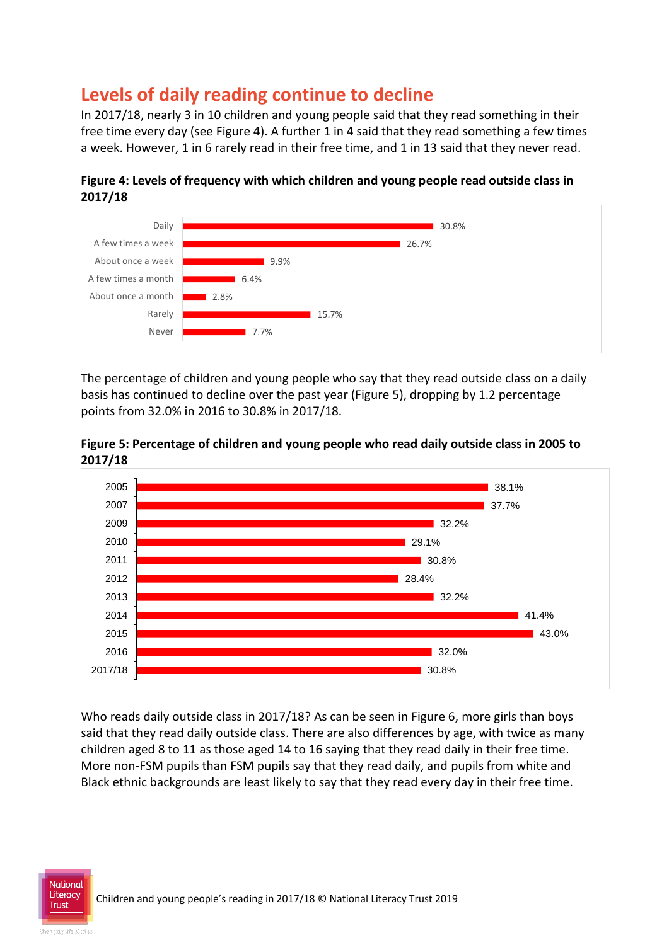# **Levels of daily reading continue to decline**

In 2017/18, nearly 3 in 10 children and young people said that they read something in their free time every day (see Figure 4). A further 1 in 4 said that they read something a few times a week. However, 1 in 6 rarely read in their free time, and 1 in 13 said that they never read.



**Figure 4: Levels of frequency with which children and young people read outside class in 2017/18**

The percentage of children and young people who say that they read outside class on a daily basis has continued to decline over the past year (Figure 5), dropping by 1.2 percentage points from 32.0% in 2016 to 30.8% in 2017/18.





Who reads daily outside class in 2017/18? As can be seen in Figure 6, more girls than boys said that they read daily outside class. There are also differences by age, with twice as many children aged 8 to 11 as those aged 14 to 16 saying that they read daily in their free time. More non-FSM pupils than FSM pupils say that they read daily, and pupils from white and Black ethnic backgrounds are least likely to say that they read every day in their free time.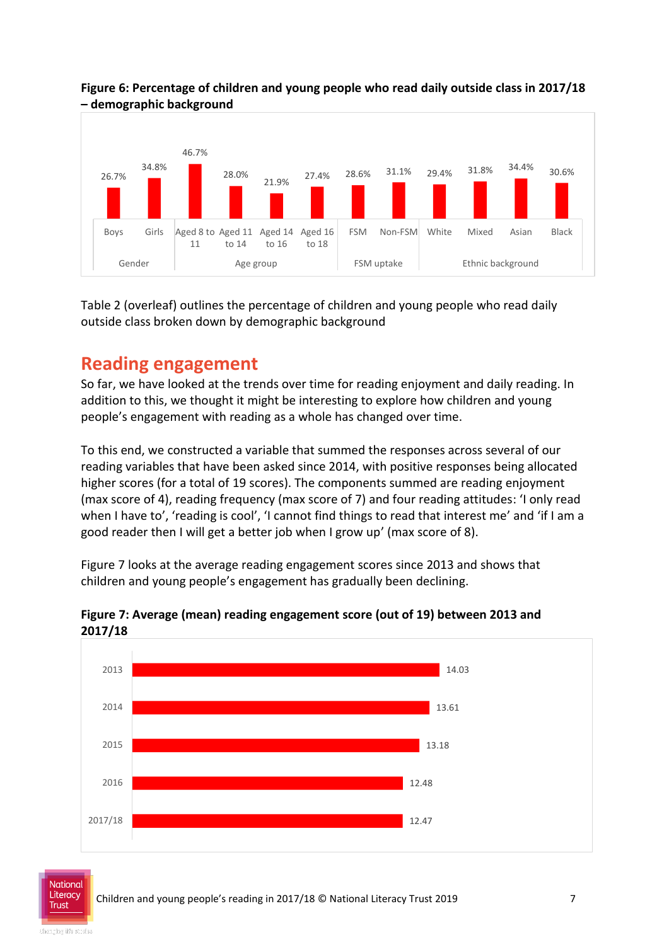

**Figure 6: Percentage of children and young people who read daily outside class in 2017/18 – demographic background**

Table 2 (overleaf) outlines the percentage of children and young people who read daily outside class broken down by demographic background

# **Reading engagement**

So far, we have looked at the trends over time for reading enjoyment and daily reading. In addition to this, we thought it might be interesting to explore how children and young people's engagement with reading as a whole has changed over time.

To this end, we constructed a variable that summed the responses across several of our reading variables that have been asked since 2014, with positive responses being allocated higher scores (for a total of 19 scores). The components summed are reading enjoyment (max score of 4), reading frequency (max score of 7) and four reading attitudes: 'I only read when I have to', 'reading is cool', 'I cannot find things to read that interest me' and 'if I am a good reader then I will get a better job when I grow up' (max score of 8).

Figure 7 looks at the average reading engagement scores since 2013 and shows that children and young people's engagement has gradually been declining.



**Figure 7: Average (mean) reading engagement score (out of 19) between 2013 and 2017/18**

National **Trust**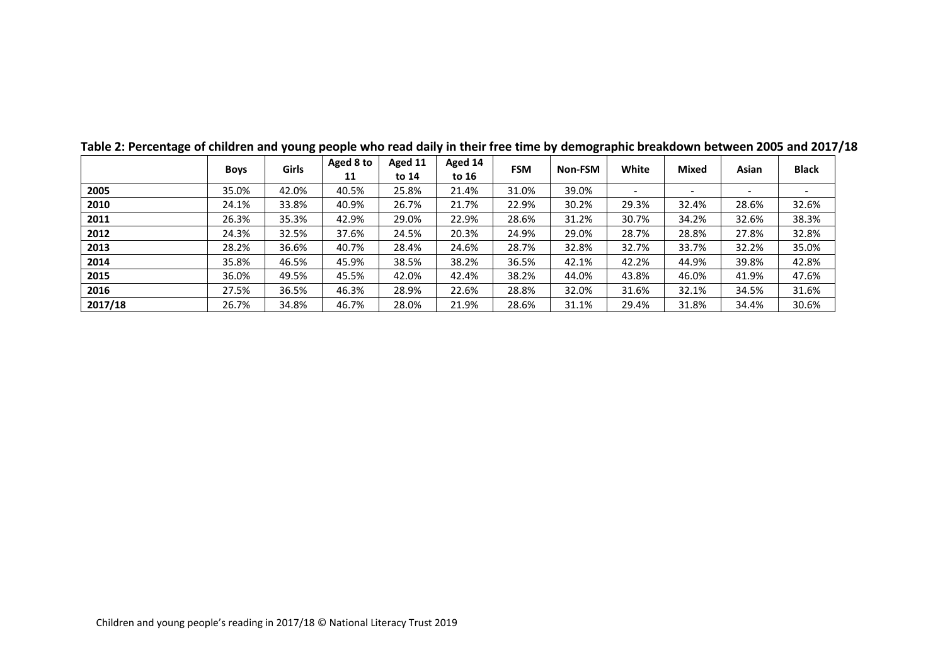|         | <b>Boys</b> | <b>Girls</b> | Aged 8 to<br>11 | Aged 11<br>to 14 | Aged 14<br>to 16 | <b>FSM</b> | Non-FSM | White | Mixed                    | Asian | <b>Black</b>             |
|---------|-------------|--------------|-----------------|------------------|------------------|------------|---------|-------|--------------------------|-------|--------------------------|
| 2005    | 35.0%       | 42.0%        | 40.5%           | 25.8%            | 21.4%            | 31.0%      | 39.0%   |       | $\overline{\phantom{a}}$ |       | $\overline{\phantom{a}}$ |
| 2010    | 24.1%       | 33.8%        | 40.9%           | 26.7%            | 21.7%            | 22.9%      | 30.2%   | 29.3% | 32.4%                    | 28.6% | 32.6%                    |
| 2011    | 26.3%       | 35.3%        | 42.9%           | 29.0%            | 22.9%            | 28.6%      | 31.2%   | 30.7% | 34.2%                    | 32.6% | 38.3%                    |
| 2012    | 24.3%       | 32.5%        | 37.6%           | 24.5%            | 20.3%            | 24.9%      | 29.0%   | 28.7% | 28.8%                    | 27.8% | 32.8%                    |
| 2013    | 28.2%       | 36.6%        | 40.7%           | 28.4%            | 24.6%            | 28.7%      | 32.8%   | 32.7% | 33.7%                    | 32.2% | 35.0%                    |
| 2014    | 35.8%       | 46.5%        | 45.9%           | 38.5%            | 38.2%            | 36.5%      | 42.1%   | 42.2% | 44.9%                    | 39.8% | 42.8%                    |
| 2015    | 36.0%       | 49.5%        | 45.5%           | 42.0%            | 42.4%            | 38.2%      | 44.0%   | 43.8% | 46.0%                    | 41.9% | 47.6%                    |
| 2016    | 27.5%       | 36.5%        | 46.3%           | 28.9%            | 22.6%            | 28.8%      | 32.0%   | 31.6% | 32.1%                    | 34.5% | 31.6%                    |
| 2017/18 | 26.7%       | 34.8%        | 46.7%           | 28.0%            | 21.9%            | 28.6%      | 31.1%   | 29.4% | 31.8%                    | 34.4% | 30.6%                    |

| Table 2: Percentage of children and young people who read daily in their free time by demographic breakdown between 2005 and 2017/18 |  |  |
|--------------------------------------------------------------------------------------------------------------------------------------|--|--|
|--------------------------------------------------------------------------------------------------------------------------------------|--|--|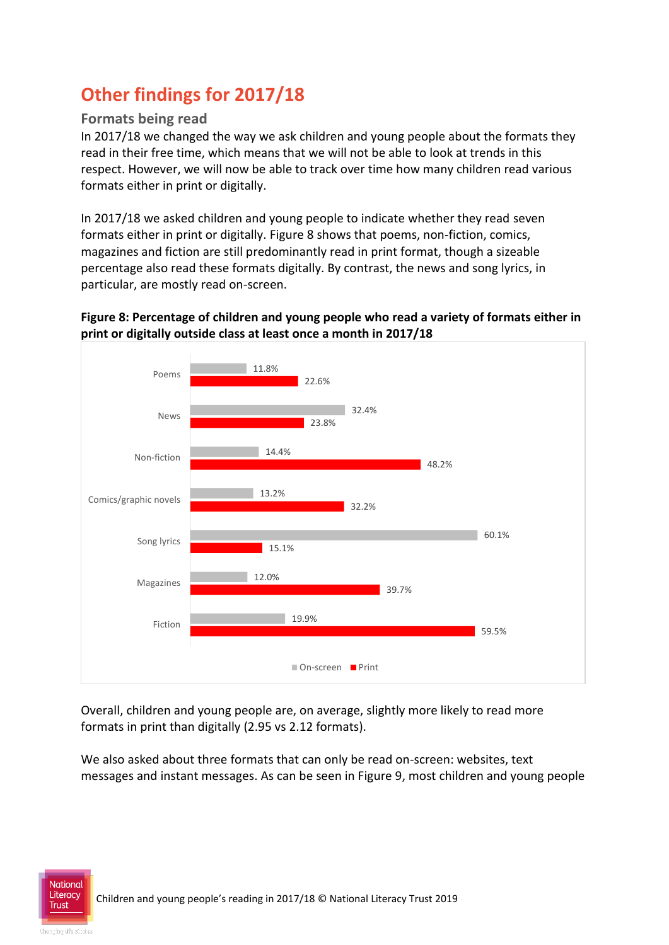# **Other findings for 2017/18**

#### **Formats being read**

In 2017/18 we changed the way we ask children and young people about the formats they read in their free time, which means that we will not be able to look at trends in this respect. However, we will now be able to track over time how many children read various formats either in print or digitally.

In 2017/18 we asked children and young people to indicate whether they read seven formats either in print or digitally. Figure 8 shows that poems, non-fiction, comics, magazines and fiction are still predominantly read in print format, though a sizeable percentage also read these formats digitally. By contrast, the news and song lyrics, in particular, are mostly read on-screen.

#### **Figure 8: Percentage of children and young people who read a variety of formats either in print or digitally outside class at least once a month in 2017/18**



Overall, children and young people are, on average, slightly more likely to read more formats in print than digitally (2.95 vs 2.12 formats).

We also asked about three formats that can only be read on-screen: websites, text messages and instant messages. As can be seen in Figure 9, most children and young people

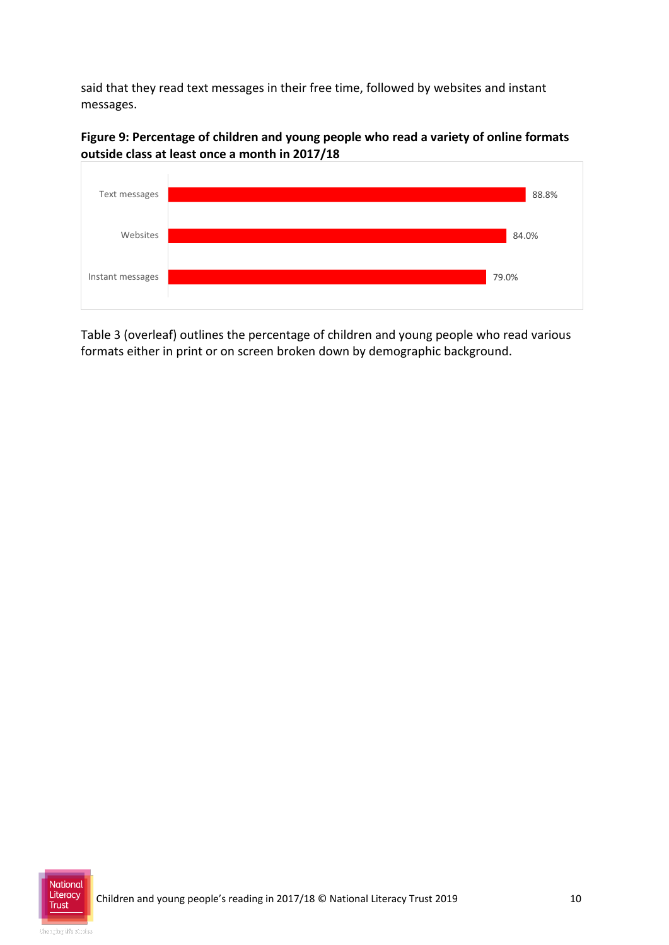said that they read text messages in their free time, followed by websites and instant messages.

**Figure 9: Percentage of children and young people who read a variety of online formats outside class at least once a month in 2017/18**



Table 3 (overleaf) outlines the percentage of children and young people who read various formats either in print or on screen broken down by demographic background.

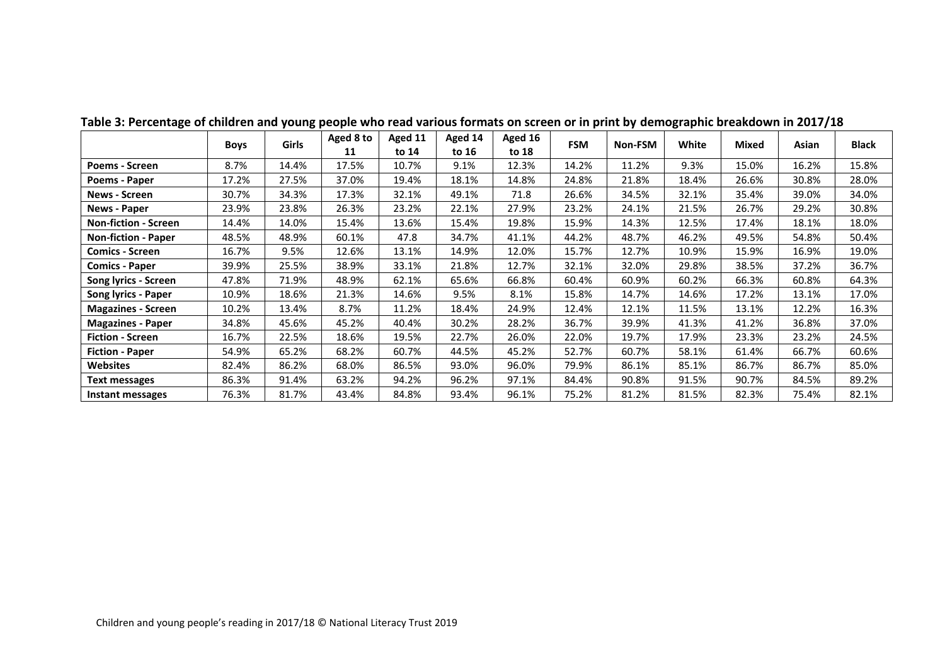|                             | <b>Boys</b> | <b>Girls</b> | Aged 8 to | Aged 11 | Aged 14 | Aged 16 | <b>FSM</b> | Non-FSM | White | Mixed | Asian | Black |
|-----------------------------|-------------|--------------|-----------|---------|---------|---------|------------|---------|-------|-------|-------|-------|
|                             |             |              | 11        | to 14   | to 16   | to 18   |            |         |       |       |       |       |
| <b>Poems - Screen</b>       | 8.7%        | 14.4%        | 17.5%     | 10.7%   | 9.1%    | 12.3%   | 14.2%      | 11.2%   | 9.3%  | 15.0% | 16.2% | 15.8% |
| Poems - Paper               | 17.2%       | 27.5%        | 37.0%     | 19.4%   | 18.1%   | 14.8%   | 24.8%      | 21.8%   | 18.4% | 26.6% | 30.8% | 28.0% |
| <b>News - Screen</b>        | 30.7%       | 34.3%        | 17.3%     | 32.1%   | 49.1%   | 71.8    | 26.6%      | 34.5%   | 32.1% | 35.4% | 39.0% | 34.0% |
| <b>News - Paper</b>         | 23.9%       | 23.8%        | 26.3%     | 23.2%   | 22.1%   | 27.9%   | 23.2%      | 24.1%   | 21.5% | 26.7% | 29.2% | 30.8% |
| <b>Non-fiction - Screen</b> | 14.4%       | 14.0%        | 15.4%     | 13.6%   | 15.4%   | 19.8%   | 15.9%      | 14.3%   | 12.5% | 17.4% | 18.1% | 18.0% |
| <b>Non-fiction - Paper</b>  | 48.5%       | 48.9%        | 60.1%     | 47.8    | 34.7%   | 41.1%   | 44.2%      | 48.7%   | 46.2% | 49.5% | 54.8% | 50.4% |
| <b>Comics - Screen</b>      | 16.7%       | 9.5%         | 12.6%     | 13.1%   | 14.9%   | 12.0%   | 15.7%      | 12.7%   | 10.9% | 15.9% | 16.9% | 19.0% |
| <b>Comics - Paper</b>       | 39.9%       | 25.5%        | 38.9%     | 33.1%   | 21.8%   | 12.7%   | 32.1%      | 32.0%   | 29.8% | 38.5% | 37.2% | 36.7% |
| Song lyrics - Screen        | 47.8%       | 71.9%        | 48.9%     | 62.1%   | 65.6%   | 66.8%   | 60.4%      | 60.9%   | 60.2% | 66.3% | 60.8% | 64.3% |
| Song lyrics - Paper         | 10.9%       | 18.6%        | 21.3%     | 14.6%   | 9.5%    | 8.1%    | 15.8%      | 14.7%   | 14.6% | 17.2% | 13.1% | 17.0% |
| <b>Magazines - Screen</b>   | 10.2%       | 13.4%        | 8.7%      | 11.2%   | 18.4%   | 24.9%   | 12.4%      | 12.1%   | 11.5% | 13.1% | 12.2% | 16.3% |
| <b>Magazines - Paper</b>    | 34.8%       | 45.6%        | 45.2%     | 40.4%   | 30.2%   | 28.2%   | 36.7%      | 39.9%   | 41.3% | 41.2% | 36.8% | 37.0% |
| <b>Fiction - Screen</b>     | 16.7%       | 22.5%        | 18.6%     | 19.5%   | 22.7%   | 26.0%   | 22.0%      | 19.7%   | 17.9% | 23.3% | 23.2% | 24.5% |
| <b>Fiction - Paper</b>      | 54.9%       | 65.2%        | 68.2%     | 60.7%   | 44.5%   | 45.2%   | 52.7%      | 60.7%   | 58.1% | 61.4% | 66.7% | 60.6% |
| Websites                    | 82.4%       | 86.2%        | 68.0%     | 86.5%   | 93.0%   | 96.0%   | 79.9%      | 86.1%   | 85.1% | 86.7% | 86.7% | 85.0% |
| <b>Text messages</b>        | 86.3%       | 91.4%        | 63.2%     | 94.2%   | 96.2%   | 97.1%   | 84.4%      | 90.8%   | 91.5% | 90.7% | 84.5% | 89.2% |
| Instant messages            | 76.3%       | 81.7%        | 43.4%     | 84.8%   | 93.4%   | 96.1%   | 75.2%      | 81.2%   | 81.5% | 82.3% | 75.4% | 82.1% |

**Table 3: Percentage of children and young people who read various formats on screen or in print by demographic breakdown in 2017/18**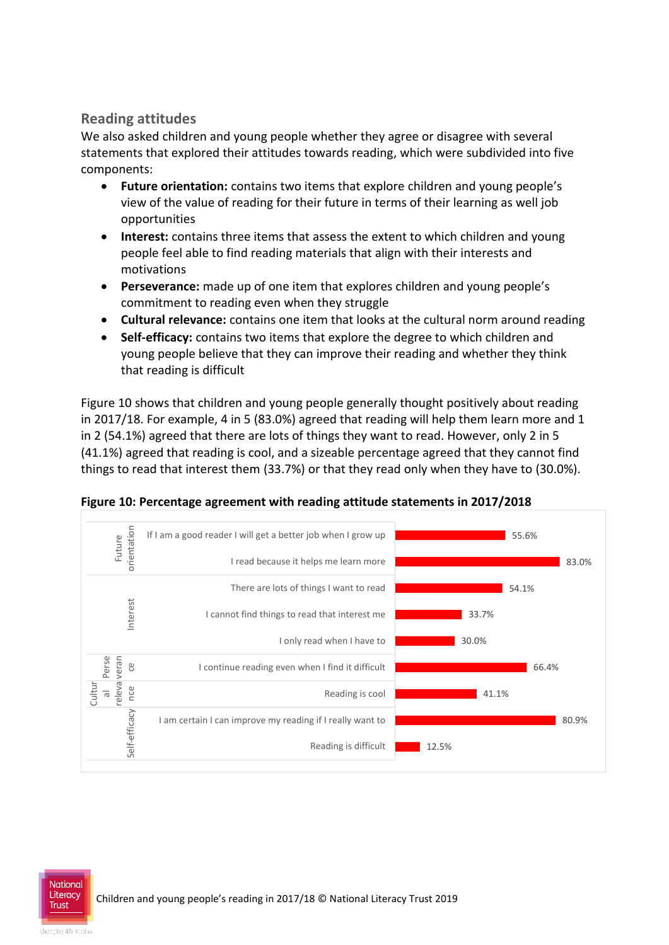#### **Reading attitudes**

We also asked children and young people whether they agree or disagree with several statements that explored their attitudes towards reading, which were subdivided into five components:

- **Future orientation:** contains two items that explore children and young people's view of the value of reading for their future in terms of their learning as well job opportunities
- **Interest:** contains three items that assess the extent to which children and young people feel able to find reading materials that align with their interests and motivations
- **Perseverance:** made up of one item that explores children and young people's commitment to reading even when they struggle
- **Cultural relevance:** contains one item that looks at the cultural norm around reading
- **Self-efficacy:** contains two items that explore the degree to which children and young people believe that they can improve their reading and whether they think that reading is difficult

Figure 10 shows that children and young people generally thought positively about reading in 2017/18. For example, 4 in 5 (83.0%) agreed that reading will help them learn more and 1 in 2 (54.1%) agreed that there are lots of things they want to read. However, only 2 in 5 (41.1%) agreed that reading is cool, and a sizeable percentage agreed that they cannot find things to read that interest them (33.7%) or that they read only when they have to (30.0%).



**Figure 10: Percentage agreement with reading attitude statements in 2017/2018**

National **Trust**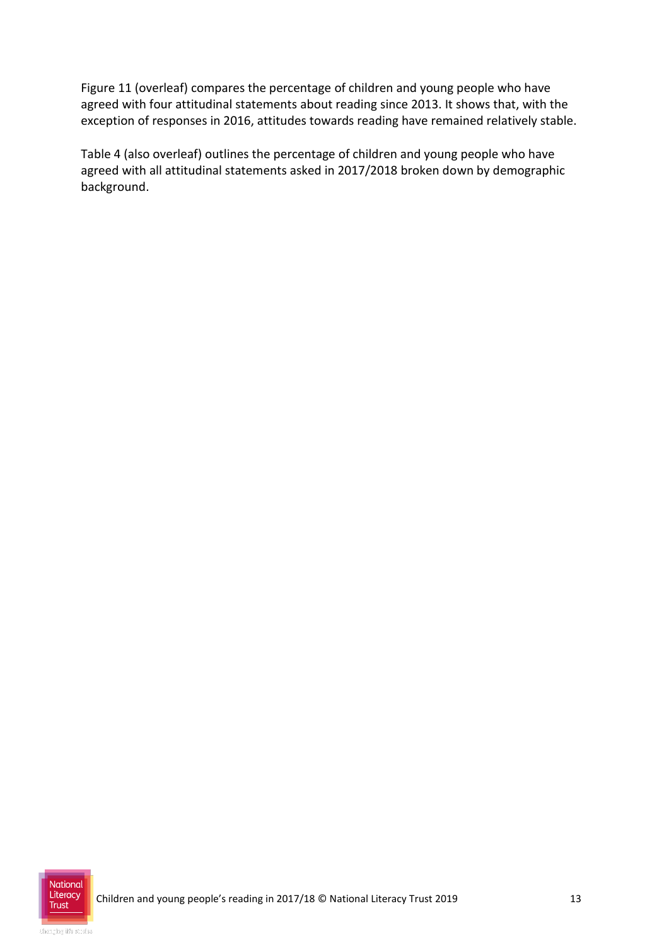Figure 11 (overleaf) compares the percentage of children and young people who have agreed with four attitudinal statements about reading since 2013. It shows that, with the exception of responses in 2016, attitudes towards reading have remained relatively stable.

Table 4 (also overleaf) outlines the percentage of children and young people who have agreed with all attitudinal statements asked in 2017/2018 broken down by demographic background.

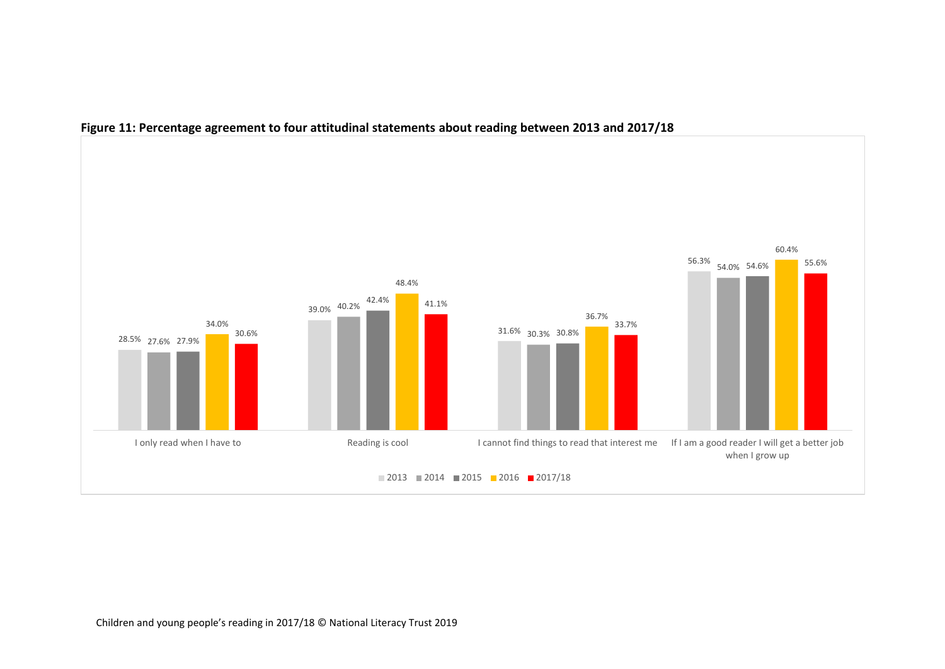

#### **Figure 11: Percentage agreement to four attitudinal statements about reading between 2013 and 2017/18**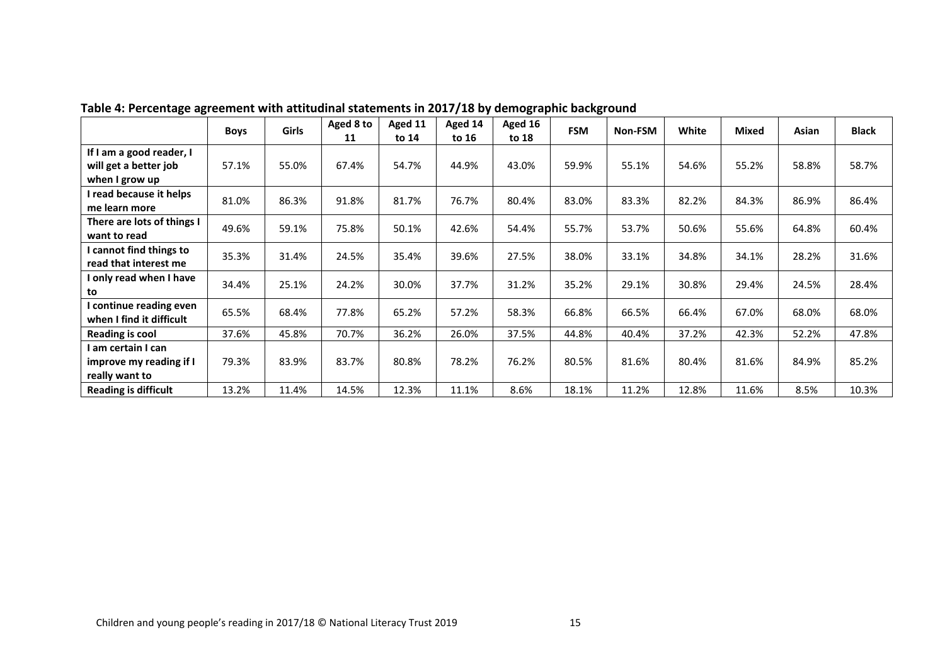|                                                     | <b>Boys</b> | <b>Girls</b> | Aged 8 to<br>11 | Aged 11<br>to 14 | Aged 14<br>to 16 | Aged 16<br>to 18 | <b>FSM</b> | Non-FSM | White | <b>Mixed</b> | Asian | <b>Black</b> |
|-----------------------------------------------------|-------------|--------------|-----------------|------------------|------------------|------------------|------------|---------|-------|--------------|-------|--------------|
| If I am a good reader, I                            |             |              |                 |                  |                  |                  |            |         |       |              |       |              |
| will get a better job<br>when I grow up             | 57.1%       | 55.0%        | 67.4%           | 54.7%            | 44.9%            | 43.0%            | 59.9%      | 55.1%   | 54.6% | 55.2%        | 58.8% | 58.7%        |
| I read because it helps                             | 81.0%       | 86.3%        | 91.8%           | 81.7%            | 76.7%            | 80.4%            | 83.0%      | 83.3%   | 82.2% | 84.3%        | 86.9% | 86.4%        |
| me learn more                                       |             |              |                 |                  |                  |                  |            |         |       |              |       |              |
| There are lots of things I<br>want to read          | 49.6%       | 59.1%        | 75.8%           | 50.1%            | 42.6%            | 54.4%            | 55.7%      | 53.7%   | 50.6% | 55.6%        | 64.8% | 60.4%        |
| I cannot find things to<br>read that interest me    | 35.3%       | 31.4%        | 24.5%           | 35.4%            | 39.6%            | 27.5%            | 38.0%      | 33.1%   | 34.8% | 34.1%        | 28.2% | 31.6%        |
| I only read when I have<br>to                       | 34.4%       | 25.1%        | 24.2%           | 30.0%            | 37.7%            | 31.2%            | 35.2%      | 29.1%   | 30.8% | 29.4%        | 24.5% | 28.4%        |
| I continue reading even<br>when I find it difficult | 65.5%       | 68.4%        | 77.8%           | 65.2%            | 57.2%            | 58.3%            | 66.8%      | 66.5%   | 66.4% | 67.0%        | 68.0% | 68.0%        |
| Reading is cool                                     | 37.6%       | 45.8%        | 70.7%           | 36.2%            | 26.0%            | 37.5%            | 44.8%      | 40.4%   | 37.2% | 42.3%        | 52.2% | 47.8%        |
| I am certain I can                                  |             |              |                 |                  |                  |                  |            |         |       |              |       |              |
| improve my reading if I                             | 79.3%       | 83.9%        | 83.7%           | 80.8%            | 78.2%            | 76.2%            | 80.5%      | 81.6%   | 80.4% | 81.6%        | 84.9% | 85.2%        |
| really want to                                      |             |              |                 |                  |                  |                  |            |         |       |              |       |              |
| <b>Reading is difficult</b>                         | 13.2%       | 11.4%        | 14.5%           | 12.3%            | 11.1%            | 8.6%             | 18.1%      | 11.2%   | 12.8% | 11.6%        | 8.5%  | 10.3%        |

**Table 4: Percentage agreement with attitudinal statements in 2017/18 by demographic background**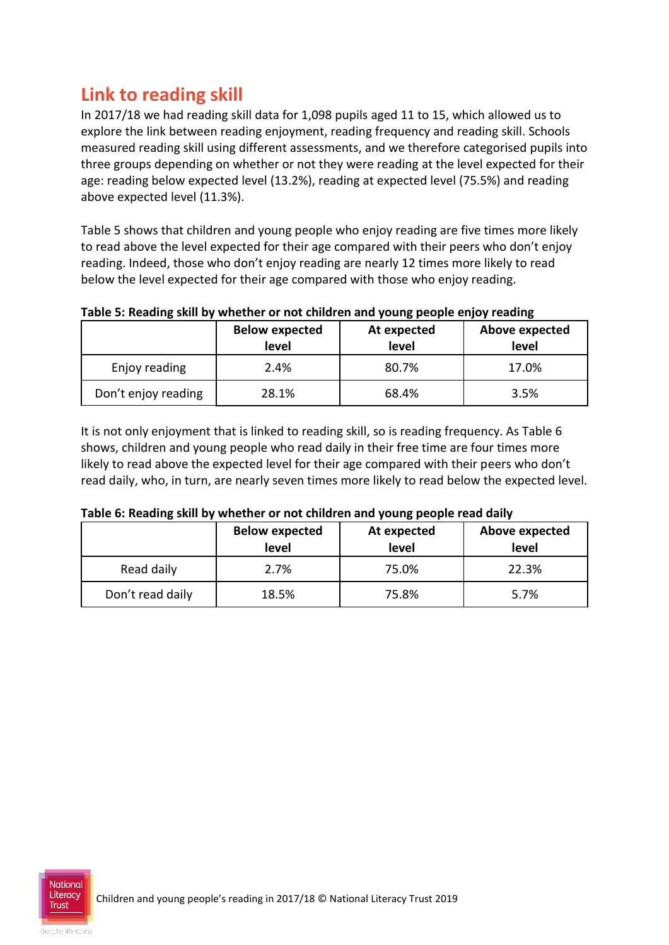### **Link to reading skill**

In 2017/18 we had reading skill data for 1,098 pupils aged 11 to 15, which allowed us to explore the link between reading enjoyment, reading frequency and reading skill. Schools measured reading skill using different assessments, and we therefore categorised pupils into three groups depending on whether or not they were reading at the level expected for their age: reading below expected level (13.2%), reading at expected level (75.5%) and reading above expected level (11.3%).

Table 5 shows that children and young people who enjoy reading are five times more likely to read above the level expected for their age compared with their peers who don't enjoy reading. Indeed, those who don't enjoy reading are nearly 12 times more likely to read below the level expected for their age compared with those who enjoy reading.

#### **Table 5: Reading skill by whether or not children and young people enjoy reading**

|                     | <b>Below expected</b><br>level | At expected<br>level | Above expected<br>level |
|---------------------|--------------------------------|----------------------|-------------------------|
| Enjoy reading       | 2.4%                           | 80.7%                | 17.0%                   |
| Don't enjoy reading | 28.1%                          | 68.4%                | 3.5%                    |

It is not only enjoyment that is linked to reading skill, so is reading frequency. As Table 6 shows, children and young people who read daily in their free time are four times more likely to read above the expected level for their age compared with their peers who don't read daily, who, in turn, are nearly seven times more likely to read below the expected level.

#### **Table 6: Reading skill by whether or not children and young people read daily**

|                  | <b>Below expected</b><br>level | At expected<br>level | Above expected<br>level |
|------------------|--------------------------------|----------------------|-------------------------|
| Read daily       | 2.7%                           | 75.0%                | 22.3%                   |
| Don't read daily | 18.5%                          | 75.8%                | 5.7%                    |

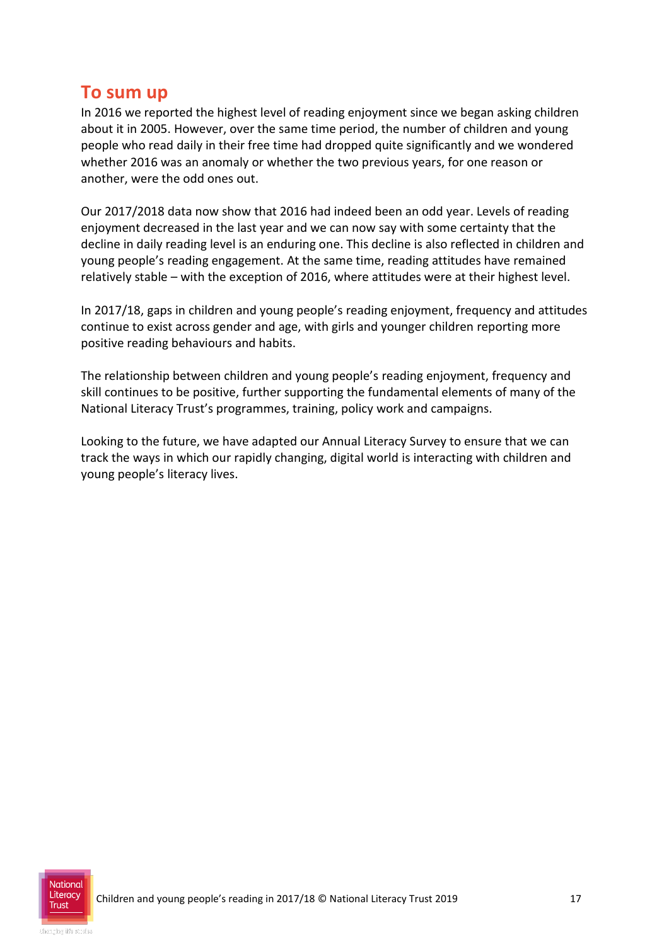### **To sum up**

In 2016 we reported the highest level of reading enjoyment since we began asking children about it in 2005. However, over the same time period, the number of children and young people who read daily in their free time had dropped quite significantly and we wondered whether 2016 was an anomaly or whether the two previous years, for one reason or another, were the odd ones out.

Our 2017/2018 data now show that 2016 had indeed been an odd year. Levels of reading enjoyment decreased in the last year and we can now say with some certainty that the decline in daily reading level is an enduring one. This decline is also reflected in children and young people's reading engagement. At the same time, reading attitudes have remained relatively stable – with the exception of 2016, where attitudes were at their highest level.

In 2017/18, gaps in children and young people's reading enjoyment, frequency and attitudes continue to exist across gender and age, with girls and younger children reporting more positive reading behaviours and habits.

The relationship between children and young people's reading enjoyment, frequency and skill continues to be positive, further supporting the fundamental elements of many of the National Literacy Trust's programmes, training, policy work and campaigns.

Looking to the future, we have adapted our Annual Literacy Survey to ensure that we can track the ways in which our rapidly changing, digital world is interacting with children and young people's literacy lives.